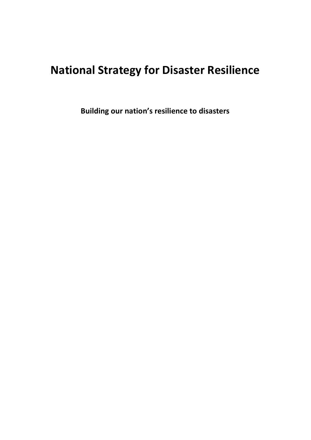# **National Strategy for Disaster Resilience**

**Building our nation's resilience to disasters**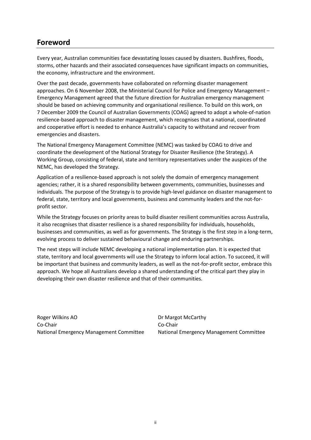# **Foreword**

Every year, Australian communities face devastating losses caused by disasters. Bushfires, floods, storms, other hazards and their associated consequences have significant impacts on communities, the economy, infrastructure and the environment.

Over the past decade, governments have collaborated on reforming disaster management approaches. On 6 November 2008, the Ministerial Council for Police and Emergency Management – Emergency Management agreed that the future direction for Australian emergency management should be based on achieving community and organisational resilience. To build on this work, on 7 December 2009 the Council of Australian Governments (COAG) agreed to adopt a whole-of-nation resilience-based approach to disaster management, which recognises that a national, coordinated and cooperative effort is needed to enhance Australia's capacity to withstand and recover from emergencies and disasters.

The National Emergency Management Committee (NEMC) was tasked by COAG to drive and coordinate the development of the National Strategy for Disaster Resilience (the Strategy). A Working Group, consisting of federal, state and territory representatives under the auspices of the NEMC, has developed the Strategy.

Application of a resilience-based approach is not solely the domain of emergency management agencies; rather, it is a shared responsibility between governments, communities, businesses and individuals. The purpose of the Strategy is to provide high-level guidance on disaster management to federal, state, territory and local governments, business and community leaders and the not-forprofit sector.

While the Strategy focuses on priority areas to build disaster resilient communities across Australia, it also recognises that disaster resilience is a shared responsibility for individuals, households, businesses and communities, as well as for governments. The Strategy is the first step in a long-term, evolving process to deliver sustained behavioural change and enduring partnerships.

The next steps will include NEMC developing a national implementation plan. It is expected that state, territory and local governments will use the Strategy to inform local action. To succeed, it will be important that business and community leaders, as well as the not-for-profit sector, embrace this approach. We hope all Australians develop a shared understanding of the critical part they play in developing their own disaster resilience and that of their communities.

Roger Wilkins AO Co-Chair National Emergency Management Committee Dr Margot McCarthy Co-Chair National Emergency Management Committee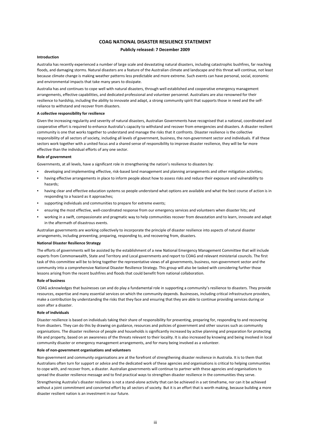#### **COAG NATIONAL DISASTER RESILIENCE STATEMENT**

#### **Publicly released: 7 December 2009**

#### **Introduction**

Australia has recently experienced a number of large scale and devastating natural disasters, including catastrophic bushfires, far reaching floods, and damaging storms. Natural disasters are a feature of the Australian climate and landscape and this threat will continue, not least because climate change is making weather patterns less predictable and more extreme. Such events can have personal, social, economic and environmental impacts that take many years to dissipate.

Australia has and continues to cope well with natural disasters, through well established and cooperative emergency management arrangements, effective capabilities, and dedicated professional and volunteer personnel. Australians are also renowned for their resilience to hardship, including the ability to innovate and adapt, a strong community spirit that supports those in need and the selfreliance to withstand and recover from disasters.

#### **A collective responsibility for resilience**

Given the increasing regularity and severity of natural disasters, Australian Governments have recognised that a national, coordinated and cooperative effort is required to enhance Australia's capacity to withstand and recover from emergencies and disasters. A disaster resilient community is one that works together to understand and manage the risks that it confronts. Disaster resilience is the collective responsibility of all sectors of society, including all levels of government, business, the non-government sector and individuals. If all these sectors work together with a united focus and a shared sense of responsibility to improve disaster resilience, they will be far more effective than the individual efforts of any one sector.

#### **Role of government**

Governments, at all levels, have a significant role in strengthening the nation's resilience to disasters by:

- developing and implementing effective, risk-based land management and planning arrangements and other mitigation activities;
- having effective arrangements in place to inform people about how to assess risks and reduce their exposure and vulnerability to hazards;
- having clear and effective education systems so people understand what options are available and what the best course of action is in responding to a hazard as it approaches;
- supporting individuals and communities to prepare for extreme events;
- ensuring the most effective, well-coordinated response from our emergency services and volunteers when disaster hits; and
- working in a swift, compassionate and pragmatic way to help communities recover from devastation and to learn, innovate and adapt in the aftermath of disastrous events.

Australian governments are working collectively to incorporate the principle of disaster resilience into aspects of natural disaster arrangements, including preventing, preparing, responding to, and recovering from, disasters.

#### **National Disaster Resilience Strategy**

The efforts of governments will be assisted by the establishment of a new National Emergency Management Committee that will include experts from Commonwealth, State and Territory and Local governments and report to COAG and relevant ministerial councils. The first task of this committee will be to bring together the representative views of all governments, business, non-government sector and the community into a comprehensive National Disaster Resilience Strategy. This group will also be tasked with considering further those lessons arising from the recent bushfires and floods that could benefit from national collaboration.

#### **Role of business**

COAG acknowledges that businesses can and do play a fundamental role in supporting a community's resilience to disasters. They provide resources, expertise and many essential services on which the community depends. Businesses, including critical infrastructure providers, make a contribution by understanding the risks that they face and ensuring that they are able to continue providing services during or soon after a disaster.

#### **Role of individuals**

Disaster resilience is based on individuals taking their share of responsibility for preventing, preparing for, responding to and recovering from disasters. They can do this by drawing on guidance, resources and policies of government and other sources such as community organisations. The disaster resilience of people and households is significantly increased by active planning and preparation for protecting life and property, based on an awareness of the threats relevant to their locality. It is also increased by knowing and being involved in local community disaster or emergency management arrangements, and for many being involved as a volunteer.

#### **Role of non-government organisations and volunteers**

Non-government and community organisations are at the forefront of strengthening disaster resilience in Australia. It is to them that Australians often turn for support or advice and the dedicated work of these agencies and organisations is critical to helping communities to cope with, and recover from, a disaster. Australian governments will continue to partner with these agencies and organisations to spread the disaster resilience message and to find practical ways to strengthen disaster resilience in the communities they serve.

Strengthening Australia's disaster resilience is not a stand-alone activity that can be achieved in a set timeframe, nor can it be achieved without a joint commitment and concerted effort by all sectors of society. But it is an effort that is worth making, because building a more disaster resilient nation is an investment in our future.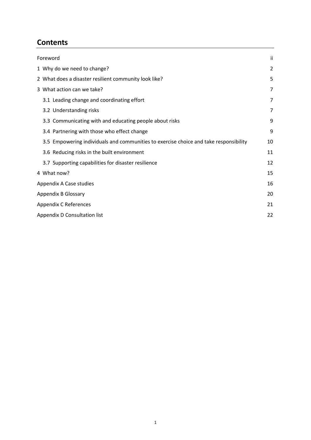# **Contents**

| Foreword |                                                                                       | ii |
|----------|---------------------------------------------------------------------------------------|----|
|          | 1 Why do we need to change?                                                           | 2  |
|          | 2 What does a disaster resilient community look like?                                 | 5  |
|          | 3 What action can we take?                                                            | 7  |
|          | 3.1 Leading change and coordinating effort                                            | 7  |
|          | 3.2 Understanding risks                                                               | 7  |
|          | 3.3 Communicating with and educating people about risks                               | 9  |
|          | 3.4 Partnering with those who effect change                                           | 9  |
|          | 3.5 Empowering individuals and communities to exercise choice and take responsibility | 10 |
|          | 3.6 Reducing risks in the built environment                                           | 11 |
|          | 3.7 Supporting capabilities for disaster resilience                                   | 12 |
|          | 4 What now?                                                                           | 15 |
|          | Appendix A Case studies                                                               |    |
|          | <b>Appendix B Glossary</b>                                                            |    |
|          | Appendix C References                                                                 |    |
|          | Appendix D Consultation list                                                          |    |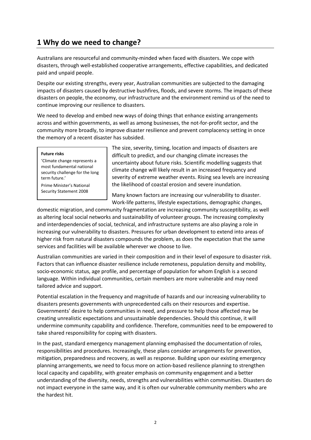# **1 Why do we need to change?**

Australians are resourceful and community-minded when faced with disasters. We cope with disasters, through well-established cooperative arrangements, effective capabilities, and dedicated paid and unpaid people.

Despite our existing strengths, every year, Australian communities are subjected to the damaging impacts of disasters caused by destructive bushfires, floods, and severe storms. The impacts of these disasters on people, the economy, our infrastructure and the environment remind us of the need to continue improving our resilience to disasters.

We need to develop and embed new ways of doing things that enhance existing arrangements across and within governments, as well as among businesses, the not-for-profit sector, and the community more broadly, to improve disaster resilience and prevent complacency setting in once the memory of a recent disaster has subsided.

#### **Future risks**

'Climate change represents a most fundamental national security challenge for the long term future.' Prime Minister's National

Security Statement 2008

The size, severity, timing, location and impacts of disasters are difficult to predict, and our changing climate increases the uncertainty about future risks. Scientific modelling suggests that climate change will likely result in an increased frequency and severity of extreme weather events. Rising sea levels are increasing the likelihood of coastal erosion and severe inundation.

Many known factors are increasing our vulnerability to disaster. Work-life patterns, lifestyle expectations, demographic changes,

domestic migration, and community fragmentation are increasing community susceptibility, as well as altering local social networks and sustainability of volunteer groups. The increasing complexity and interdependencies of social, technical, and infrastructure systems are also playing a role in increasing our vulnerability to disasters. Pressures for urban development to extend into areas of higher risk from natural disasters compounds the problem, as does the expectation that the same services and facilities will be available wherever we choose to live.

Australian communities are varied in their composition and in their level of exposure to disaster risk. Factors that can influence disaster resilience include remoteness, population density and mobility, socio-economic status, age profile, and percentage of population for whom English is a second language. Within individual communities, certain members are more vulnerable and may need tailored advice and support.

Potential escalation in the frequency and magnitude of hazards and our increasing vulnerability to disasters presents governments with unprecedented calls on their resources and expertise. Governments' desire to help communities in need, and pressure to help those affected may be creating unrealistic expectations and unsustainable dependencies. Should this continue, it will undermine community capability and confidence. Therefore, communities need to be empowered to take shared responsibility for coping with disasters.

In the past, standard emergency management planning emphasised the documentation of roles, responsibilities and procedures. Increasingly, these plans consider arrangements for prevention, mitigation, preparedness and recovery, as well as response. Building upon our existing emergency planning arrangements, we need to focus more on action-based resilience planning to strengthen local capacity and capability, with greater emphasis on community engagement and a better understanding of the diversity, needs, strengths and vulnerabilities within communities. Disasters do not impact everyone in the same way, and it is often our vulnerable community members who are the hardest hit.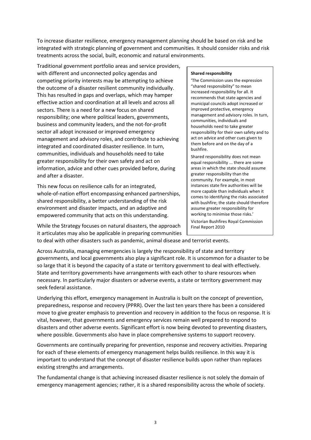To increase disaster resilience, emergency management planning should be based on risk and be integrated with strategic planning of government and communities. It should consider risks and risk treatments across the social, built, economic and natural environments.

Traditional government portfolio areas and service providers, with different and unconnected policy agendas and competing priority interests may be attempting to achieve the outcome of a disaster resilient community individually. This has resulted in gaps and overlaps, which may hamper effective action and coordination at all levels and across all sectors. There is a need for a new focus on shared responsibility; one where political leaders, governments, business and community leaders, and the not-for-profit sector all adopt increased or improved emergency management and advisory roles, and contribute to achieving integrated and coordinated disaster resilience. In turn, communities, individuals and households need to take greater responsibility for their own safety and act on information, advice and other cues provided before, during and after a disaster.

This new focus on resilience calls for an integrated, whole-of-nation effort encompassing enhanced partnerships, shared responsibility, a better understanding of the risk environment and disaster impacts, and an adaptive and empowered community that acts on this understanding.

**Shared responsibility**

'The Commission uses the expression "shared responsibility" to mean increased responsibility for all. It recommends that state agencies and municipal councils adopt increased or improved protective, emergency management and advisory roles. In turn, communities, individuals and households need to take greater responsibility for their own safety and to act on advice and other cues given to them before and on the day of a bushfire.

Shared responsibility does not mean equal responsibility ... there are some areas in which the state should assume greater responsibility than the community. For example, in most instances state fire authorities will be more capable than individuals when it comes to identifying the risks associated with bushfire; the state should therefore assume greater responsibility for working to minimise those risks.' Victorian Bushfires Royal Commission Final Report 2010

While the Strategy focuses on natural disasters, the approach it articulates may also be applicable in preparing communities

to deal with other disasters such as pandemic, animal disease and terrorist events.

Across Australia, managing emergencies is largely the responsibility of state and territory governments, and local governments also play a significant role. It is uncommon for a disaster to be so large that it is beyond the capacity of a state or territory government to deal with effectively. State and territory governments have arrangements with each other to share resources when necessary. In particularly major disasters or adverse events, a state or territory government may seek federal assistance.

Underlying this effort, emergency management in Australia is built on the concept of prevention, preparedness, response and recovery (PPRR). Over the last ten years there has been a considered move to give greater emphasis to prevention and recovery in addition to the focus on response. It is vital, however, that governments and emergency services remain well prepared to respond to disasters and other adverse events. Significant effort is now being devoted to preventing disasters, where possible. Governments also have in place comprehensive systems to support recovery.

Governments are continually preparing for prevention, response and recovery activities. Preparing for each of these elements of emergency management helps builds resilience. In this way it is important to understand that the concept of disaster resilience builds upon rather than replaces existing strengths and arrangements.

The fundamental change is that achieving increased disaster resilience is not solely the domain of emergency management agencies; rather, it is a shared responsibility across the whole of society.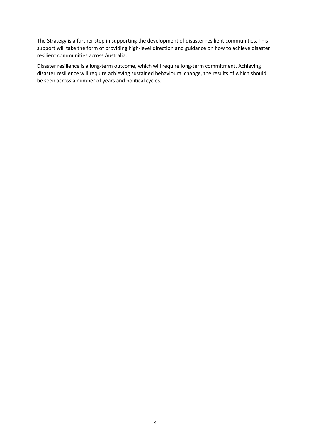The Strategy is a further step in supporting the development of disaster resilient communities. This support will take the form of providing high-level direction and guidance on how to achieve disaster resilient communities across Australia.

Disaster resilience is a long-term outcome, which will require long-term commitment. Achieving disaster resilience will require achieving sustained behavioural change, the results of which should be seen across a number of years and political cycles.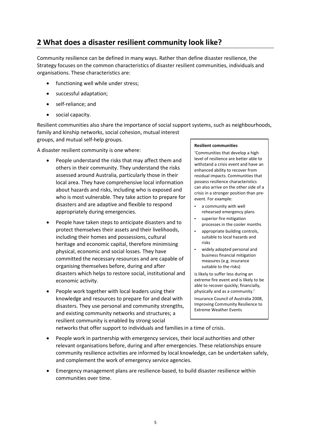# **2 What does a disaster resilient community look like?**

Community resilience can be defined in many ways. Rather than define disaster resilience, the Strategy focuses on the common characteristics of disaster resilient communities, individuals and organisations. These characteristics are:

- functioning well while under stress;
- successful adaptation;
- self-reliance; and
- social capacity.

Resilient communities also share the importance of social support systems, such as neighbourhoods, family and kinship networks, social cohesion, mutual interest groups, and mutual self-help groups.

A disaster resilient community is one where:

- People understand the risks that may affect them and others in their community. They understand the risks assessed around Australia, particularly those in their local area. They have comprehensive local information about hazards and risks, including who is exposed and who is most vulnerable. They take action to prepare for disasters and are adaptive and flexible to respond appropriately during emergencies.
- People have taken steps to anticipate disasters and to protect themselves their assets and their livelihoods, including their homes and possessions, cultural heritage and economic capital, therefore minimising physical, economic and social losses. They have committed the necessary resources and are capable of organising themselves before, during and after disasters which helps to restore social, institutional and economic activity.
- People work together with local leaders using their knowledge and resources to prepare for and deal with disasters. They use personal and community strengths, and existing community networks and structures; a resilient community is enabled by strong social

#### **Resilient communities**

'Communities that develop a high level of resilience are better able to withstand a crisis event and have an enhanced ability to recover from residual impacts. Communities that possess resilience characteristics can also arrive on the other side of a crisis in a stronger position than preevent. For example:

- a community with well rehearsed emergency plans
- superior fire mitigation processes in the cooler months
- appropriate building controls, suitable to local hazards and risks
- widely adopted personal and business financial mitigation measures (e.g. insurance suitable to the risks)

is likely to suffer less during an extreme fire event and is likely to be able to recover quickly; financially, physically and as a community.'

Insurance Council of Australia 2008, Improving Community Resilience to Extreme Weather Events

networks that offer support to individuals and families in a time of crisis.

- People work in partnership with emergency services, their local authorities and other relevant organisations before, during and after emergencies. These relationships ensure community resilience activities are informed by local knowledge, can be undertaken safely, and complement the work of emergency service agencies.
- Emergency management plans are resilience-based, to build disaster resilience within communities over time.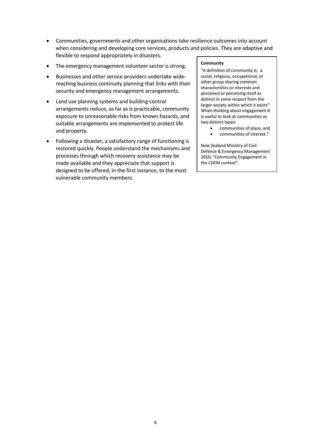- Communities, governments and other organisations take resilience outcomes into account when considering and developing core services, products and policies. They are adaptive and flexible to respond appropriately in disasters.
- The emergency management volunteer sector is strong.
- Businesses and other service providers undertake widereaching business continuity planning that links with their security and emergency management arrangements.
- Land use planning systems and building control arrangements reduce, as far as is practicable, community exposure to unreasonable risks from known hazards, and suitable arrangements are implemented to protect life and property.
- Following a disaster, a satisfactory range of functioning is restored quickly. People understand the mechanisms and processes through which recovery assistance may be made available and they appreciate that support is designed to be offered, in the first instance, to the most vulnerable community members.

#### **Community**

"A definition of community is: a social, religious, occupational, or other group sharing common characteristics or interests and perceived or perceiving itself as distinct in some respect from the larger society within which it exists" When thinking about engagement it is useful to look at communities as two distinct types:

- communities of place, and
	- communities of interest."

New Zealand Ministry of Civil Defence & Emergency Management 2010, "Community Engagement in the CDEM context".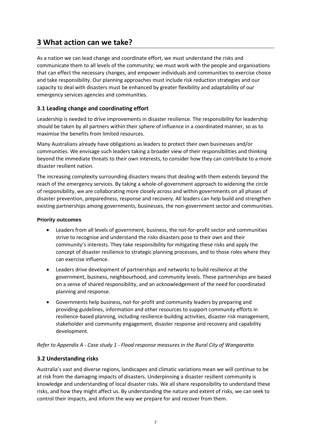# **3 What action can we take?**

As a nation we can lead change and coordinate effort, we must understand the risks and communicate them to all levels of the community; we must work with the people and organisations that can effect the necessary changes, and empower individuals and communities to exercise choice and take responsibility. Our planning approaches must include risk reduction strategies and our capacity to deal with disasters must be enhanced by greater flexibility and adaptability of our emergency services agencies and communities.

### **3.1 Leading change and coordinating effort**

Leadership is needed to drive improvements in disaster resilience. The responsibility for leadership should be taken by all partners within their sphere of influence in a coordinated manner, so as to maximise the benefits from limited resources.

Many Australians already have obligations as leaders to protect their own businesses and/or communities. We envisage such leaders taking a broader view of their responsibilities and thinking beyond the immediate threats to their own interests, to consider how they can contribute to a more disaster resilient nation.

The increasing complexity surrounding disasters means that dealing with them extends beyond the reach of the emergency services. By taking a whole-of-government approach to widening the circle of responsibility, we are collaborating more closely across and within governments on all phases of disaster prevention, preparedness, response and recovery. All leaders can help build and strengthen existing partnerships among governments, businesses, the non-government sector and communities.

#### **Priority outcomes**

- Leaders from all levels of government, business, the not-for-profit sector and communities strive to recognise and understand the risks disasters pose to their own and their community's interests. They take responsibility for mitigating these risks and apply the concept of disaster resilience to strategic planning processes, and to those roles where they can exercise influence.
- Leaders drive development of partnerships and networks to build resilience at the government, business, neighbourhood, and community levels. These partnerships are based on a sense of shared responsibility, and an acknowledgement of the need for coordinated planning and response.
- Governments help business, not-for-profit and community leaders by preparing and providing guidelines, information and other resources to support community efforts in resilience-based planning, including resilience-building activities, disaster risk management, stakeholder and community engagement, disaster response and recovery and capability development.

#### *Refer to Appendix A - Case study 1 - Flood response measures in the Rural City of Wangaratta*

#### **3.2 Understanding risks**

Australia's vast and diverse regions, landscapes and climatic variations mean we will continue to be at risk from the damaging impacts of disasters. Underpinning a disaster resilient community is knowledge and understanding of local disaster risks. We all share responsibility to understand these risks, and how they might affect us. By understanding the nature and extent of risks, we can seek to control their impacts, and inform the way we prepare for and recover from them.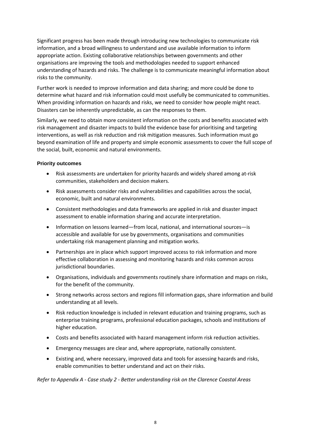Significant progress has been made through introducing new technologies to communicate risk information, and a broad willingness to understand and use available information to inform appropriate action. Existing collaborative relationships between governments and other organisations are improving the tools and methodologies needed to support enhanced understanding of hazards and risks. The challenge is to communicate meaningful information about risks to the community.

Further work is needed to improve information and data sharing; and more could be done to determine what hazard and risk information could most usefully be communicated to communities. When providing information on hazards and risks, we need to consider how people might react. Disasters can be inherently unpredictable, as can the responses to them.

Similarly, we need to obtain more consistent information on the costs and benefits associated with risk management and disaster impacts to build the evidence base for prioritising and targeting interventions, as well as risk reduction and risk mitigation measures. Such information must go beyond examination of life and property and simple economic assessments to cover the full scope of the social, built, economic and natural environments.

#### **Priority outcomes**

- Risk assessments are undertaken for priority hazards and widely shared among at-risk communities, stakeholders and decision makers.
- Risk assessments consider risks and vulnerabilities and capabilities across the social, economic, built and natural environments.
- Consistent methodologies and data frameworks are applied in risk and disaster impact assessment to enable information sharing and accurate interpretation.
- Information on lessons learned—from local, national, and international sources—is accessible and available for use by governments, organisations and communities undertaking risk management planning and mitigation works.
- Partnerships are in place which support improved access to risk information and more effective collaboration in assessing and monitoring hazards and risks common across jurisdictional boundaries.
- Organisations, individuals and governments routinely share information and maps on risks, for the benefit of the community.
- Strong networks across sectors and regions fill information gaps, share information and build understanding at all levels.
- Risk reduction knowledge is included in relevant education and training programs, such as enterprise training programs, professional education packages, schools and institutions of higher education.
- Costs and benefits associated with hazard management inform risk reduction activities.
- Emergency messages are clear and, where appropriate, nationally consistent.
- Existing and, where necessary, improved data and tools for assessing hazards and risks, enable communities to better understand and act on their risks.

*Refer to Appendix A - Case study 2 - Better understanding risk on the Clarence Coastal Areas*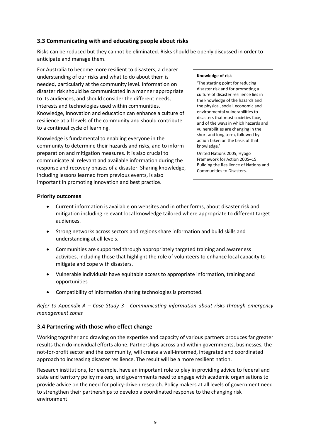### **3.3 Communicating with and educating people about risks**

Risks can be reduced but they cannot be eliminated. Risks should be openly discussed in order to anticipate and manage them.

For Australia to become more resilient to disasters, a clearer understanding of our risks and what to do about them is needed, particularly at the community level. Information on disaster risk should be communicated in a manner appropriate to its audiences, and should consider the different needs, interests and technologies used within communities. Knowledge, innovation and education can enhance a culture of resilience at all levels of the community and should contribute to a continual cycle of learning.

Knowledge is fundamental to enabling everyone in the community to determine their hazards and risks, and to inform preparation and mitigation measures. It is also crucial to communicate all relevant and available information during the response and recovery phases of a disaster. Sharing knowledge, including lessons learned from previous events, is also important in promoting innovation and best practice.

#### **Knowledge of risk**

'The starting point for reducing disaster risk and for promoting a culture of disaster resilience lies in the knowledge of the hazards and the physical, social, economic and environmental vulnerabilities to disasters that most societies face, and of the ways in which hazards and vulnerabilities are changing in the short and long term, followed by action taken on the basis of that knowledge.'

United Nations 2005, Hyogo Framework for Action 2005–15: Building the Resilience of Nations and Communities to Disasters.

### **Priority outcomes**

- Current information is available on websites and in other forms, about disaster risk and mitigation including relevant local knowledge tailored where appropriate to different target audiences.
- Strong networks across sectors and regions share information and build skills and understanding at all levels.
- Communities are supported through appropriately targeted training and awareness activities, including those that highlight the role of volunteers to enhance local capacity to mitigate and cope with disasters.
- Vulnerable individuals have equitable access to appropriate information, training and opportunities
- Compatibility of information sharing technologies is promoted.

*Refer to Appendix A – Case Study 3 - Communicating information about risks through emergency management zones*

### **3.4 Partnering with those who effect change**

Working together and drawing on the expertise and capacity of various partners produces far greater results than do individual efforts alone. Partnerships across and within governments, businesses, the not-for-profit sector and the community, will create a well-informed, integrated and coordinated approach to increasing disaster resilience. The result will be a more resilient nation.

Research institutions, for example, have an important role to play in providing advice to federal and state and territory policy makers; and governments need to engage with academic organisations to provide advice on the need for policy-driven research. Policy makers at all levels of government need to strengthen their partnerships to develop a coordinated response to the changing risk environment.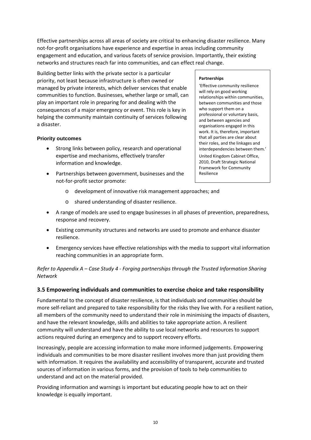Effective partnerships across all areas of society are critical to enhancing disaster resilience. Many not-for-profit organisations have experience and expertise in areas including community engagement and education, and various facets of service provision. Importantly, their existing networks and structures reach far into communities, and can effect real change.

Building better links with the private sector is a particular priority, not least because infrastructure is often owned or managed by private interests, which deliver services that enable communities to function. Businesses, whether large or small, can play an important role in preparing for and dealing with the consequences of a major emergency or event. This role is key in helping the community maintain continuity of services following a disaster.

#### **Priority outcomes**

- Strong links between policy, research and operational expertise and mechanisms, effectively transfer information and knowledge.
- Partnerships between government, businesses and the not-for-profit sector promote:
	- o development of innovative risk management approaches; and
	- o shared understanding of disaster resilience.
- A range of models are used to engage businesses in all phases of prevention, preparedness, response and recovery.
- Existing community structures and networks are used to promote and enhance disaster resilience.
- Emergency services have effective relationships with the media to support vital information reaching communities in an appropriate form.

*Refer to Appendix A – Case Study 4 - Forging partnerships through the Trusted Information Sharing Network*

#### **3.5 Empowering individuals and communities to exercise choice and take responsibility**

Fundamental to the concept of disaster resilience, is that individuals and communities should be more self-reliant and prepared to take responsibility for the risks they live with. For a resilient nation, all members of the community need to understand their role in minimising the impacts of disasters, and have the relevant knowledge, skills and abilities to take appropriate action. A resilient community will understand and have the ability to use local networks and resources to support actions required during an emergency and to support recovery efforts.

Increasingly, people are accessing information to make more informed judgements. Empowering individuals and communities to be more disaster resilient involves more than just providing them with information. It requires the availability and accessibility of transparent, accurate and trusted sources of information in various forms, and the provision of tools to help communities to understand and act on the material provided.

Providing information and warnings is important but educating people how to act on their knowledge is equally important.

#### **Partnerships**

Resilience

'Effective community resilience will rely on good working relationships within communities, between communities and those who support them on a professional or voluntary basis, and between agencies and organisations engaged in this work. It is, therefore, important that all parties are clear about their roles, and the linkages and interdependencies between them.' United Kingdom Cabinet Office, 2010, Draft Strategic National Framework for Community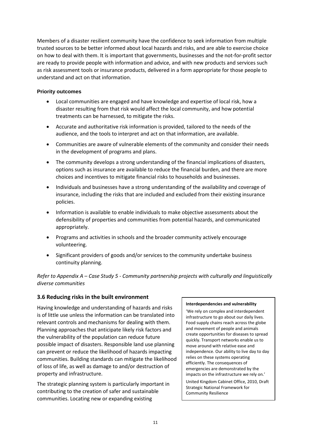Members of a disaster resilient community have the confidence to seek information from multiple trusted sources to be better informed about local hazards and risks, and are able to exercise choice on how to deal with them. It is important that governments, businesses and the not-for-profit sector are ready to provide people with information and advice, and with new products and services such as risk assessment tools or insurance products, delivered in a form appropriate for those people to understand and act on that information.

#### **Priority outcomes**

- Local communities are engaged and have knowledge and expertise of local risk, how a disaster resulting from that risk would affect the local community, and how potential treatments can be harnessed, to mitigate the risks.
- Accurate and authoritative risk information is provided, tailored to the needs of the audience, and the tools to interpret and act on that information, are available.
- Communities are aware of vulnerable elements of the community and consider their needs in the development of programs and plans.
- The community develops a strong understanding of the financial implications of disasters, options such as insurance are available to reduce the financial burden, and there are more choices and incentives to mitigate financial risks to households and businesses.
- Individuals and businesses have a strong understanding of the availability and coverage of insurance, including the risks that are included and excluded from their existing insurance policies.
- Information is available to enable individuals to make objective assessments about the defensibility of properties and communities from potential hazards, and communicated appropriately.
- Programs and activities in schools and the broader community actively encourage volunteering.
- Significant providers of goods and/or services to the community undertake business continuity planning.

*Refer to Appendix A – Case Study 5 - Community partnership projects with culturally and linguistically diverse communities*

#### **3.6 Reducing risks in the built environment**

Having knowledge and understanding of hazards and risks is of little use unless the information can be translated into relevant controls and mechanisms for dealing with them. Planning approaches that anticipate likely risk factors and the vulnerability of the population can reduce future possible impact of disasters. Responsible land use planning can prevent or reduce the likelihood of hazards impacting communities. Building standards can mitigate the likelihood of loss of life, as well as damage to and/or destruction of property and infrastructure.

The strategic planning system is particularly important in contributing to the creation of safer and sustainable communities. Locating new or expanding existing

#### **Interdependencies and vulnerability**

'We rely on complex and interdependent infrastructure to go about our daily lives. Food supply chains reach across the globe and movement of people and animals create opportunities for diseases to spread quickly. Transport networks enable us to move around with relative ease and independence. Our ability to live day to day relies on these systems operating efficiently. The consequences of emergencies are demonstrated by the impacts on the infrastructure we rely on.' United Kingdom Cabinet Office, 2010, Draft Strategic National Framework for Community Resilience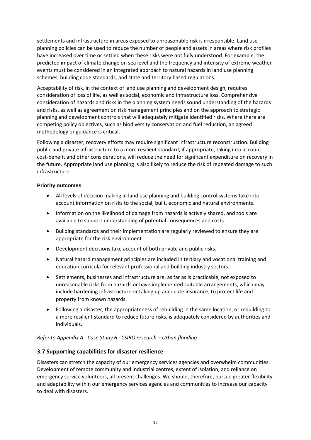settlements and infrastructure in areas exposed to unreasonable risk is irresponsible. Land use planning policies can be used to reduce the number of people and assets in areas where risk profiles have increased over time or settled when these risks were not fully understood. For example, the predicted impact of climate change on sea level and the frequency and intensity of extreme weather events must be considered in an integrated approach to natural hazards in land use planning schemes, building code standards, and state and territory based regulations.

Acceptability of risk, in the context of land use planning and development design, requires consideration of loss of life, as well as social, economic and infrastructure loss. Comprehensive consideration of hazards and risks in the planning system needs sound understanding of the hazards and risks, as well as agreement on risk management principles and on the approach to strategic planning and development controls that will adequately mitigate identified risks. Where there are competing policy objectives, such as biodiversity conservation and fuel reduction, an agreed methodology or guidance is critical.

Following a disaster, recovery efforts may require significant infrastructure reconstruction. Building public and private infrastructure to a more resilient standard, if appropriate, taking into account cost-benefit and other considerations, will reduce the need for significant expenditure on recovery in the future. Appropriate land use planning is also likely to reduce the risk of repeated damage to such infrastructure.

#### **Priority outcomes**

- All levels of decision making in land use planning and building control systems take into account information on risks to the social, built, economic and natural environments.
- Information on the likelihood of damage from hazards is actively shared, and tools are available to support understanding of potential consequences and costs.
- Building standards and their implementation are regularly reviewed to ensure they are appropriate for the risk environment.
- Development decisions take account of both private and public risks.
- Natural hazard management principles are included in tertiary and vocational training and education curricula for relevant professional and building industry sectors.
- Settlements, businesses and infrastructure are, as far as is practicable, not exposed to unreasonable risks from hazards or have implemented suitable arrangements, which may include hardening infrastructure or taking up adequate insurance, to protect life and property from known hazards.
- Following a disaster, the appropriateness of rebuilding in the same location, or rebuilding to a more resilient standard to reduce future risks, is adequately considered by authorities and individuals.

#### *Refer to Appendix A - Case Study 6 - CSIRO research – Urban flooding*

#### **3.7 Supporting capabilities for disaster resilience**

Disasters can stretch the capacity of our emergency services agencies and overwhelm communities. Development of remote community and industrial centres, extent of isolation, and reliance on emergency service volunteers, all present challenges. We should, therefore, pursue greater flexibility and adaptability within our emergency services agencies and communities to increase our capacity to deal with disasters.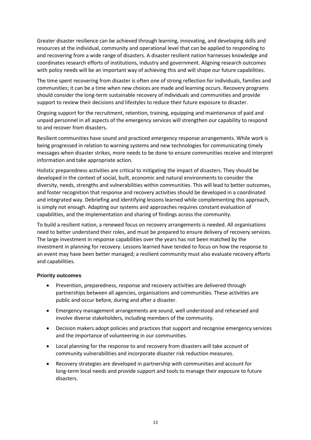Greater disaster resilience can be achieved through learning, innovating, and developing skills and resources at the individual, community and operational level that can be applied to responding to and recovering from a wide range of disasters. A disaster resilient nation harnesses knowledge and coordinates research efforts of institutions, industry and government. Aligning research outcomes with policy needs will be an important way of achieving this and will shape our future capabilities.

The time spent recovering from disaster is often one of strong reflection for individuals, families and communities; it can be a time when new choices are made and learning occurs. Recovery programs should consider the long-term sustainable recovery of individuals and communities and provide support to review their decisions and lifestyles to reduce their future exposure to disaster.

Ongoing support for the recruitment, retention, training, equipping and maintenance of paid and unpaid personnel in all aspects of the emergency services will strengthen our capability to respond to and recover from disasters.

Resilient communities have sound and practiced emergency response arrangements. While work is being progressed in relation to warning systems and new technologies for communicating timely messages when disaster strikes, more needs to be done to ensure communities receive and interpret information and take appropriate action.

Holistic preparedness activities are critical to mitigating the impact of disasters. They should be developed in the context of social, built, economic and natural environments to consider the diversity, needs, strengths and vulnerabilities within communities. This will lead to better outcomes, and foster recognition that response and recovery activities should be developed in a coordinated and integrated way. Debriefing and identifying lessons learned while complementing this approach, is simply not enough. Adapting our systems and approaches requires constant evaluation of capabilities, and the implementation and sharing of findings across the community.

To build a resilient nation, a renewed focus on recovery arrangements is needed. All organisations need to better understand their roles, and must be prepared to ensure delivery of recovery services. The large investment in response capabilities over the years has not been matched by the investment in planning for recovery. Lessons learned have tended to focus on how the response to an event may have been better managed; a resilient community must also evaluate recovery efforts and capabilities.

#### **Priority outcomes**

- Prevention, preparedness, response and recovery activities are delivered through partnerships between all agencies, organisations and communities. These activities are public and occur before, during and after a disaster.
- Emergency management arrangements are sound, well understood and rehearsed and involve diverse stakeholders, including members of the community.
- Decision makers adopt policies and practices that support and recognise emergency services and the importance of volunteering in our communities.
- Local planning for the response to and recovery from disasters will take account of community vulnerabilities and incorporate disaster risk reduction measures.
- Recovery strategies are developed in partnership with communities and account for long-term local needs and provide support and tools to manage their exposure to future disasters.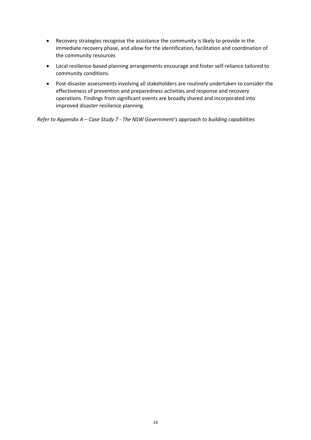- Recovery strategies recognise the assistance the community is likely to provide in the immediate recovery phase, and allow for the identification, facilitation and coordination of the community resources
- Local resilience-based planning arrangements encourage and foster self-reliance tailored to community conditions.
- Post-disaster assessments involving all stakeholders are routinely undertaken to consider the effectiveness of prevention and preparedness activities and response and recovery operations. Findings from significant events are broadly shared and incorporated into improved disaster resilience planning.

*Refer to Appendix A – Case Study 7 - The NSW Government's approach to building capabilities*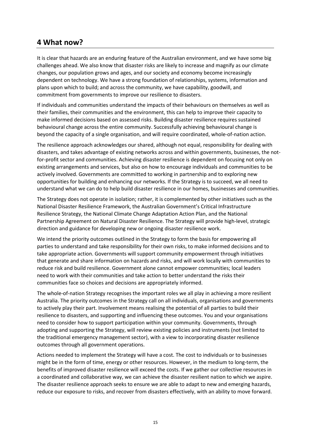## **4 What now?**

It is clear that hazards are an enduring feature of the Australian environment, and we have some big challenges ahead. We also know that disaster risks are likely to increase and magnify as our climate changes, our population grows and ages, and our society and economy become increasingly dependent on technology. We have a strong foundation of relationships, systems, information and plans upon which to build; and across the community, we have capability, goodwill, and commitment from governments to improve our resilience to disasters.

If individuals and communities understand the impacts of their behaviours on themselves as well as their families, their communities and the environment, this can help to improve their capacity to make informed decisions based on assessed risks. Building disaster resilience requires sustained behavioural change across the entire community. Successfully achieving behavioural change is beyond the capacity of a single organisation, and will require coordinated, whole-of-nation action.

The resilience approach acknowledges our shared, although not equal, responsibility for dealing with disasters, and takes advantage of existing networks across and within governments, businesses, the notfor-profit sector and communities. Achieving disaster resilience is dependent on focusing not only on existing arrangements and services, but also on how to encourage individuals and communities to be actively involved. Governments are committed to working in partnership and to exploring new opportunities for building and enhancing our networks. If the Strategy is to succeed, we all need to understand what we can do to help build disaster resilience in our homes, businesses and communities.

The Strategy does not operate in isolation; rather, it is complemented by other initiatives such as the National Disaster Resilience Framework, the Australian Government's Critical Infrastructure Resilience Strategy, the National Climate Change Adaptation Action Plan, and the National Partnership Agreement on Natural Disaster Resilience. The Strategy will provide high-level, strategic direction and guidance for developing new or ongoing disaster resilience work.

We intend the priority outcomes outlined in the Strategy to form the basis for empowering all parties to understand and take responsibility for their own risks, to make informed decisions and to take appropriate action. Governments will support community empowerment through initiatives that generate and share information on hazards and risks, and will work locally with communities to reduce risk and build resilience. Government alone cannot empower communities; local leaders need to work with their communities and take action to better understand the risks their communities face so choices and decisions are appropriately informed.

The whole-of-nation Strategy recognises the important roles we all play in achieving a more resilient Australia. The priority outcomes in the Strategy call on all individuals, organisations and governments to actively play their part. Involvement means realising the potential of all parties to build their resilience to disasters, and supporting and influencing these outcomes. You and your organisations need to consider how to support participation within your community. Governments, through adopting and supporting the Strategy, will review existing policies and instruments (not limited to the traditional emergency management sector), with a view to incorporating disaster resilience outcomes through all government operations.

Actions needed to implement the Strategy will have a cost. The cost to individuals or to businesses might be in the form of time, energy or other resources. However, in the medium to long-term, the benefits of improved disaster resilience will exceed the costs. If we gather our collective resources in a coordinated and collaborative way, we can achieve the disaster resilient nation to which we aspire. The disaster resilience approach seeks to ensure we are able to adapt to new and emerging hazards, reduce our exposure to risks, and recover from disasters effectively, with an ability to move forward.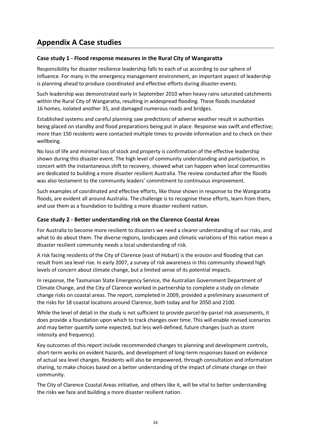# **Appendix A Case studies**

### **Case study 1 - Flood response measures in the Rural City of Wangaratta**

Responsibility for disaster resilience leadership falls to each of us according to our sphere of influence. For many in the emergency management environment, an important aspect of leadership is planning ahead to produce coordinated and effective efforts during disaster events.

Such leadership was demonstrated early in September 2010 when heavy rains saturated catchments within the Rural City of Wangaratta, resulting in widespread flooding. These floods inundated 16 homes, isolated another 35, and damaged numerous roads and bridges.

Established systems and careful planning saw predictions of adverse weather result in authorities being placed on standby and flood preparations being put in place. Response was swift and effective; more than 150 residents were contacted multiple times to provide information and to check on their wellbeing.

No loss of life and minimal loss of stock and property is confirmation of the effective leadership shown during this disaster event. The high level of community understanding and participation, in concert with the instantaneous shift to recovery, showed what can happen when local communities are dedicated to building a more disaster resilient Australia. The review conducted after the floods was also testament to the community leaders' commitment to continuous improvement.

Such examples of coordinated and effective efforts, like those shown in response to the Wangaratta floods, are evident all around Australia. The challenge is to recognise these efforts, learn from them, and use them as a foundation to building a more disaster resilient nation.

### **Case study 2 - Better understanding risk on the Clarence Coastal Areas**

For Australia to become more resilient to disasters we need a clearer understanding of our risks, and what to do about them. The diverse regions, landscapes and climatic variations of this nation mean a disaster resilient community needs a local understanding of risk.

A risk facing residents of the City of Clarence (east of Hobart) is the erosion and flooding that can result from sea level rise. In early 2007, a survey of risk awareness in this community showed high levels of concern about climate change, but a limited sense of its potential impacts.

In response, the Tasmanian State Emergency Service, the Australian Government Department of Climate Change, and the City of Clarence worked in partnership to complete a study on climate change risks on coastal areas. The report, completed in 2009, provided a preliminary assessment of the risks for 18 coastal locations around Clarence, both today and for 2050 and 2100.

While the level of detail in the study is not sufficient to provide parcel-by-parcel risk assessments, it does provide a foundation upon which to track changes over time. This will enable revised scenarios and may better quantify some expected, but less well-defined, future changes (such as storm intensity and frequency).

Key outcomes of this report include recommended changes to planning and development controls, short-term works on evident hazards, and development of long-term responses based on evidence of actual sea level changes. Residents will also be empowered, through consultation and information sharing, to make choices based on a better understanding of the impact of climate change on their community.

The City of Clarence Coastal Areas initiative, and others like it, will be vital to better understanding the risks we face and building a more disaster resilient nation.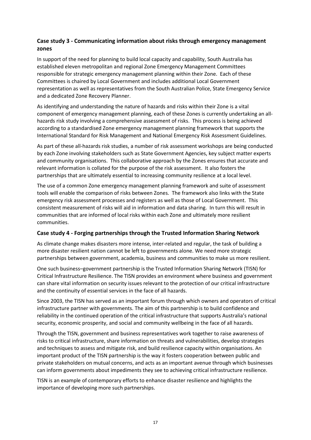### **Case study 3 - Communicating information about risks through emergency management zones**

In support of the need for planning to build local capacity and capability, South Australia has established eleven metropolitan and regional Zone Emergency Management Committees responsible for strategic emergency management planning within their Zone. Each of these Committees is chaired by Local Government and includes additional Local Government representation as well as representatives from the South Australian Police, State Emergency Service and a dedicated Zone Recovery Planner.

As identifying and understanding the nature of hazards and risks within their Zone is a vital component of emergency management planning, each of these Zones is currently undertaking an allhazards risk study involving a comprehensive assessment of risks. This process is being achieved according to a standardised Zone emergency management planning framework that supports the International Standard for Risk Management and National Emergency Risk Assessment Guidelines.

As part of these all-hazards risk studies, a number of risk assessment workshops are being conducted by each Zone involving stakeholders such as State Government Agencies, key subject matter experts and community organisations. This collaborative approach by the Zones ensures that accurate and relevant information is collated for the purpose of the risk assessment. It also fosters the partnerships that are ultimately essential to increasing community resilience at a local level.

The use of a common Zone emergency management planning framework and suite of assessment tools will enable the comparison of risks between Zones. The framework also links with the State emergency risk assessment processes and registers as well as those of Local Government. This consistent measurement of risks will aid in information and data sharing. In turn this will result in communities that are informed of local risks within each Zone and ultimately more resilient communities.

#### **Case study 4 - Forging partnerships through the Trusted Information Sharing Network**

As climate change makes disasters more intense, inter-related and regular, the task of building a more disaster resilient nation cannot be left to governments alone. We need more strategic partnerships between government, academia, business and communities to make us more resilient.

One such business–government partnership is the Trusted Information Sharing Network (TISN) for Critical Infrastructure Resilience. The TISN provides an environment where business and government can share vital information on security issues relevant to the protection of our critical infrastructure and the continuity of essential services in the face of all hazards.

Since 2003, the TISN has served as an important forum through which owners and operators of critical infrastructure partner with governments. The aim of this partnership is to build confidence and reliability in the continued operation of the critical infrastructure that supports Australia's national security, economic prosperity, and social and community wellbeing in the face of all hazards.

Through the TISN, government and business representatives work together to raise awareness of risks to critical infrastructure, share information on threats and vulnerabilities, develop strategies and techniques to assess and mitigate risk, and build resilience capacity within organisations. An important product of the TISN partnership is the way it fosters cooperation between public and private stakeholders on mutual concerns, and acts as an important avenue through which businesses can inform governments about impediments they see to achieving critical infrastructure resilience.

TISN is an example of contemporary efforts to enhance disaster resilience and highlights the importance of developing more such partnerships.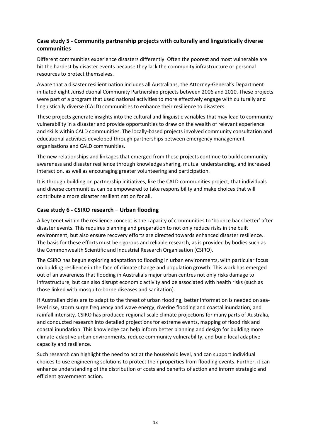### **Case study 5 - Community partnership projects with culturally and linguistically diverse communities**

Different communities experience disasters differently. Often the poorest and most vulnerable are hit the hardest by disaster events because they lack the community infrastructure or personal resources to protect themselves.

Aware that a disaster resilient nation includes all Australians, the Attorney-General's Department initiated eight Jurisdictional Community Partnership projects between 2006 and 2010. These projects were part of a program that used national activities to more effectively engage with culturally and linguistically diverse (CALD) communities to enhance their resilience to disasters.

These projects generate insights into the cultural and linguistic variables that may lead to community vulnerability in a disaster and provide opportunities to draw on the wealth of relevant experience and skills within CALD communities. The locally-based projects involved community consultation and educational activities developed through partnerships between emergency management organisations and CALD communities.

The new relationships and linkages that emerged from these projects continue to build community awareness and disaster resilience through knowledge sharing, mutual understanding, and increased interaction, as well as encouraging greater volunteering and participation.

It is through building on partnership initiatives, like the CALD communities project, that individuals and diverse communities can be empowered to take responsibility and make choices that will contribute a more disaster resilient nation for all.

### **Case study 6 - CSIRO research – Urban flooding**

A key tenet within the resilience concept is the capacity of communities to 'bounce back better' after disaster events. This requires planning and preparation to not only reduce risks in the built environment, but also ensure recovery efforts are directed towards enhanced disaster resilience. The basis for these efforts must be rigorous and reliable research, as is provided by bodies such as the Commonwealth Scientific and Industrial Research Organisation (CSIRO).

The CSIRO has begun exploring adaptation to flooding in urban environments, with particular focus on building resilience in the face of climate change and population growth. This work has emerged out of an awareness that flooding in Australia's major urban centres not only risks damage to infrastructure, but can also disrupt economic activity and be associated with health risks (such as those linked with mosquito-borne diseases and sanitation).

If Australian cities are to adapt to the threat of urban flooding, better information is needed on sealevel rise, storm surge frequency and wave energy, riverine flooding and coastal inundation, and rainfall intensity. CSIRO has produced regional-scale climate projections for many parts of Australia, and conducted research into detailed projections for extreme events, mapping of flood risk and coastal inundation. This knowledge can help inform better planning and design for building more climate-adaptive urban environments, reduce community vulnerability, and build local adaptive capacity and resilience.

Such research can highlight the need to act at the household level, and can support individual choices to use engineering solutions to protect their properties from flooding events. Further, it can enhance understanding of the distribution of costs and benefits of action and inform strategic and efficient government action.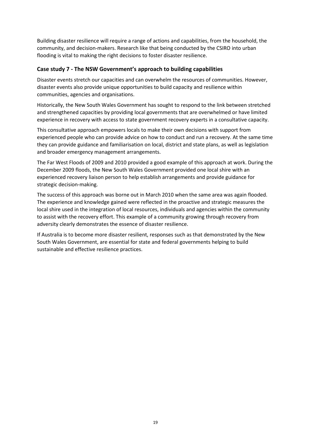Building disaster resilience will require a range of actions and capabilities, from the household, the community, and decision-makers. Research like that being conducted by the CSIRO into urban flooding is vital to making the right decisions to foster disaster resilience.

### **Case study 7 - The NSW Government's approach to building capabilities**

Disaster events stretch our capacities and can overwhelm the resources of communities. However, disaster events also provide unique opportunities to build capacity and resilience within communities, agencies and organisations.

Historically, the New South Wales Government has sought to respond to the link between stretched and strengthened capacities by providing local governments that are overwhelmed or have limited experience in recovery with access to state government recovery experts in a consultative capacity.

This consultative approach empowers locals to make their own decisions with support from experienced people who can provide advice on how to conduct and run a recovery. At the same time they can provide guidance and familiarisation on local, district and state plans, as well as legislation and broader emergency management arrangements.

The Far West Floods of 2009 and 2010 provided a good example of this approach at work. During the December 2009 floods, the New South Wales Government provided one local shire with an experienced recovery liaison person to help establish arrangements and provide guidance for strategic decision-making.

The success of this approach was borne out in March 2010 when the same area was again flooded. The experience and knowledge gained were reflected in the proactive and strategic measures the local shire used in the integration of local resources, individuals and agencies within the community to assist with the recovery effort. This example of a community growing through recovery from adversity clearly demonstrates the essence of disaster resilience.

If Australia is to become more disaster resilient, responses such as that demonstrated by the New South Wales Government, are essential for state and federal governments helping to build sustainable and effective resilience practices.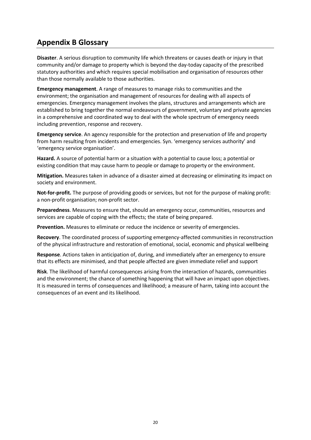# **Appendix B Glossary**

**Disaster**. A serious disruption to community life which threatens or causes death or injury in that community and/or damage to property which is beyond the day-today capacity of the prescribed statutory authorities and which requires special mobilisation and organisation of resources other than those normally available to those authorities.

**Emergency management**. A range of measures to manage risks to communities and the environment; the organisation and management of resources for dealing with all aspects of emergencies. Emergency management involves the plans, structures and arrangements which are established to bring together the normal endeavours of government, voluntary and private agencies in a comprehensive and coordinated way to deal with the whole spectrum of emergency needs including prevention, response and recovery.

**Emergency service**. An agency responsible for the protection and preservation of life and property from harm resulting from incidents and emergencies. Syn. 'emergency services authority' and 'emergency service organisation'.

**Hazard.** A source of potential harm or a situation with a potential to cause loss; a potential or existing condition that may cause harm to people or damage to property or the environment.

**Mitigation.** Measures taken in advance of a disaster aimed at decreasing or eliminating its impact on society and environment.

**Not-for-profit.** The purpose of providing goods or services, but not for the purpose of making profit: a non-profit organisation; non-profit sector.

**Preparedness**. Measures to ensure that, should an emergency occur, communities, resources and services are capable of coping with the effects; the state of being prepared.

**Prevention.** Measures to eliminate or reduce the incidence or severity of emergencies.

**Recovery**. The coordinated process of supporting emergency-affected communities in reconstruction of the physical infrastructure and restoration of emotional, social, economic and physical wellbeing

**Response**. Actions taken in anticipation of, during, and immediately after an emergency to ensure that its effects are minimised, and that people affected are given immediate relief and support

**Risk**. The likelihood of harmful consequences arising from the interaction of hazards, communities and the environment; the chance of something happening that will have an impact upon objectives. It is measured in terms of consequences and likelihood; a measure of harm, taking into account the consequences of an event and its likelihood.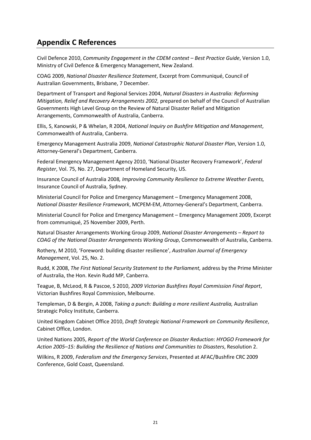# **Appendix C References**

Civil Defence 2010, *Community Engagement in the CDEM context – Best Practice Guide*, Version 1.0, Ministry of Civil Defence & Emergency Management, New Zealand.

COAG 2009, *National Disaster Resilience Statement*, Excerpt from Communiqué, Council of Australian Governments, Brisbane, 7 December.

Department of Transport and Regional Services 2004, *Natural Disasters in Australia: Reforming Mitigation, Relief and Recovery Arrangements 2002,* prepared on behalf of the Council of Australian Governments High Level Group on the Review of Natural Disaster Relief and Mitigation Arrangements, Commonwealth of Australia, Canberra.

Ellis, S, Kanowski, P & Whelan, R 2004, *National Inquiry on Bushfire Mitigation and Management*, Commonwealth of Australia, Canberra.

Emergency Management Australia 2009, *National Catastrophic Natural Disaster Plan*, Version 1.0, Attorney-General's Department, Canberra.

Federal Emergency Management Agency 2010, 'National Disaster Recovery Framework', *Federal Register*, Vol. 75, No. 27, Department of Homeland Security, US.

Insurance Council of Australia 2008*, Improving Community Resilience to Extreme Weather Events,*  Insurance Council of Australia, Sydney.

Ministerial Council for Police and Emergency Management – Emergency Management 2008, *National Disaster Resilience Framework*, MCPEM-EM, Attorney-General's Department, Canberra.

Ministerial Council for Police and Emergency Management – Emergency Management 2009, Excerpt from communiqué, 25 November 2009, Perth.

Natural Disaster Arrangements Working Group 2009, *National Disaster Arrangements – Report to COAG of the National Disaster Arrangements Working Group*, Commonwealth of Australia, Canberra.

Rothery, M 2010, 'Foreword: building disaster resilience', *Australian Journal of Emergency Management*, Vol. 25, No. 2.

Rudd, K 2008, *The First National Security Statement to the Parliament,* address by the Prime Minister of Australia, the Hon. Kevin Rudd MP, Canberra.

Teague, B, McLeod, R & Pascoe, S 2010, *2009 Victorian Bushfires Royal Commission Final Report*, Victorian Bushfires Royal Commission, Melbourne.

Templeman, D & Bergin, A 2008, *Taking a punch: Building a more resilient Australia,* Australian Strategic Policy Institute, Canberra.

United Kingdom Cabinet Office 2010, *Draft Strategic National Framework on Community Resilience*, Cabinet Office, London.

United Nations 2005, *Report of the World Conference on Disaster Reduction*: *HYOGO Framework for Action 2005–15: Building the Resilience of Nations and Communities to Disasters*, Resolution 2.

Wilkins, R 2009, *Federalism and the Emergency Services*, Presented at AFAC/Bushfire CRC 2009 Conference, Gold Coast, Queensland.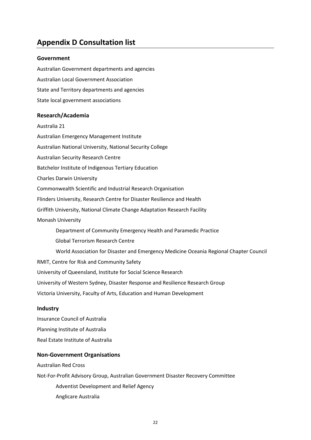# **Appendix D Consultation list**

#### **Government**

Australian Government departments and agencies Australian Local Government Association State and Territory departments and agencies State local government associations

#### **Research/Academia**

Australia 21 Australian Emergency Management Institute Australian National University, National Security College Australian Security Research Centre Batchelor Institute of Indigenous Tertiary Education Charles Darwin University Commonwealth Scientific and Industrial Research Organisation Flinders University, Research Centre for Disaster Resilience and Health Griffith University, National Climate Change Adaptation Research Facility Monash University Department of Community Emergency Health and Paramedic Practice Global Terrorism Research Centre World Association for Disaster and Emergency Medicine Oceania Regional Chapter Council RMIT, Centre for Risk and Community Safety University of Queensland, Institute for Social Science Research University of Western Sydney, Disaster Response and Resilience Research Group Victoria University, Faculty of Arts, Education and Human Development

#### **Industry**

Insurance Council of Australia Planning Institute of Australia Real Estate Institute of Australia

#### **Non-Government Organisations**

Australian Red Cross Not-For-Profit Advisory Group, Australian Government Disaster Recovery Committee Adventist Development and Relief Agency Anglicare Australia